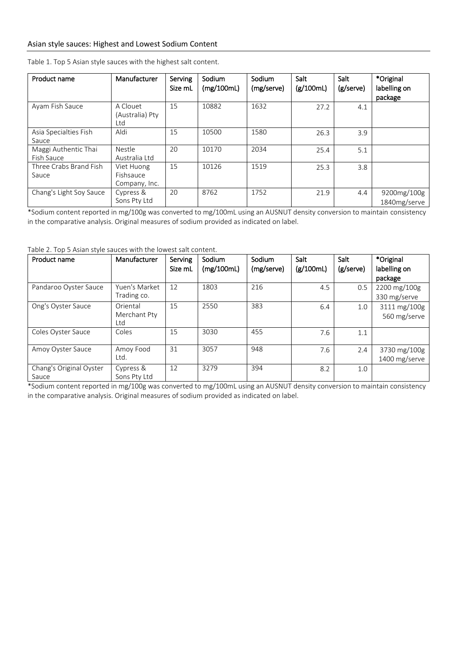| Product name                       | Manufacturer                             | Serving<br>Size mL | Sodium<br>(mg/100mL) | Sodium<br>(mg/serve) | Salt<br>(g/100mL) | Salt<br>(g/serve) | *Original<br>labelling on<br>package |
|------------------------------------|------------------------------------------|--------------------|----------------------|----------------------|-------------------|-------------------|--------------------------------------|
| Ayam Fish Sauce                    | A Clouet<br>(Australia) Pty<br>Ltd       | 15                 | 10882                | 1632                 | 27.2              | 4.1               |                                      |
| Asia Specialties Fish<br>Sauce     | Aldi                                     | 15                 | 10500                | 1580                 | 26.3              | 3.9               |                                      |
| Maggi Authentic Thai<br>Fish Sauce | Nestle<br>Australia Ltd                  | 20                 | 10170                | 2034                 | 25.4              | 5.1               |                                      |
| Three Crabs Brand Fish<br>Sauce    | Viet Huong<br>Fishsauce<br>Company, Inc. | 15                 | 10126                | 1519                 | 25.3              | 3.8               |                                      |
| Chang's Light Soy Sauce            | Cypress &<br>Sons Pty Ltd                | 20                 | 8762                 | 1752                 | 21.9              | 4.4               | 9200mg/100g<br>1840mg/serve          |

Table 1. Top 5 Asian style sauces with the highest salt content.

\*Sodium content reported in mg/100g was converted to mg/100mL using an AUSNUT density conversion to maintain consistency in the comparative analysis. Original measures of sodium provided as indicated on label.

Table 2. Top 5 Asian style sauces with the lowest salt content.

| Product name                     | Manufacturer                    | Serving<br>Size mL | Sodium<br>(mg/100mL) | Sodium<br>(mg/serve) | Salt<br>(g/100mL) | <b>Salt</b><br>(g/serve) | *Original<br>labelling on<br>package |
|----------------------------------|---------------------------------|--------------------|----------------------|----------------------|-------------------|--------------------------|--------------------------------------|
| Pandaroo Oyster Sauce            | Yuen's Market<br>Trading co.    | 12                 | 1803                 | 216                  | 4.5               | 0.5                      | 2200 mg/100g<br>330 mg/serve         |
| Ong's Oyster Sauce               | Oriental<br>Merchant Pty<br>Ltd | 15                 | 2550                 | 383                  | 6.4               | 1.0                      | 3111 mg/100g<br>560 mg/serve         |
| Coles Oyster Sauce               | Coles                           | 15                 | 3030                 | 455                  | 7.6               | 1.1                      |                                      |
| Amoy Oyster Sauce                | Amoy Food<br>Ltd.               | 31                 | 3057                 | 948                  | 7.6               | 2.4                      | 3730 mg/100g<br>1400 mg/serve        |
| Chang's Original Oyster<br>Sauce | Cypress &<br>Sons Pty Ltd       | 12                 | 3279                 | 394                  | 8.2               | 1.0                      |                                      |

\*Sodium content reported in mg/100g was converted to mg/100mL using an AUSNUT density conversion to maintain consistency in the comparative analysis. Original measures of sodium provided as indicated on label.